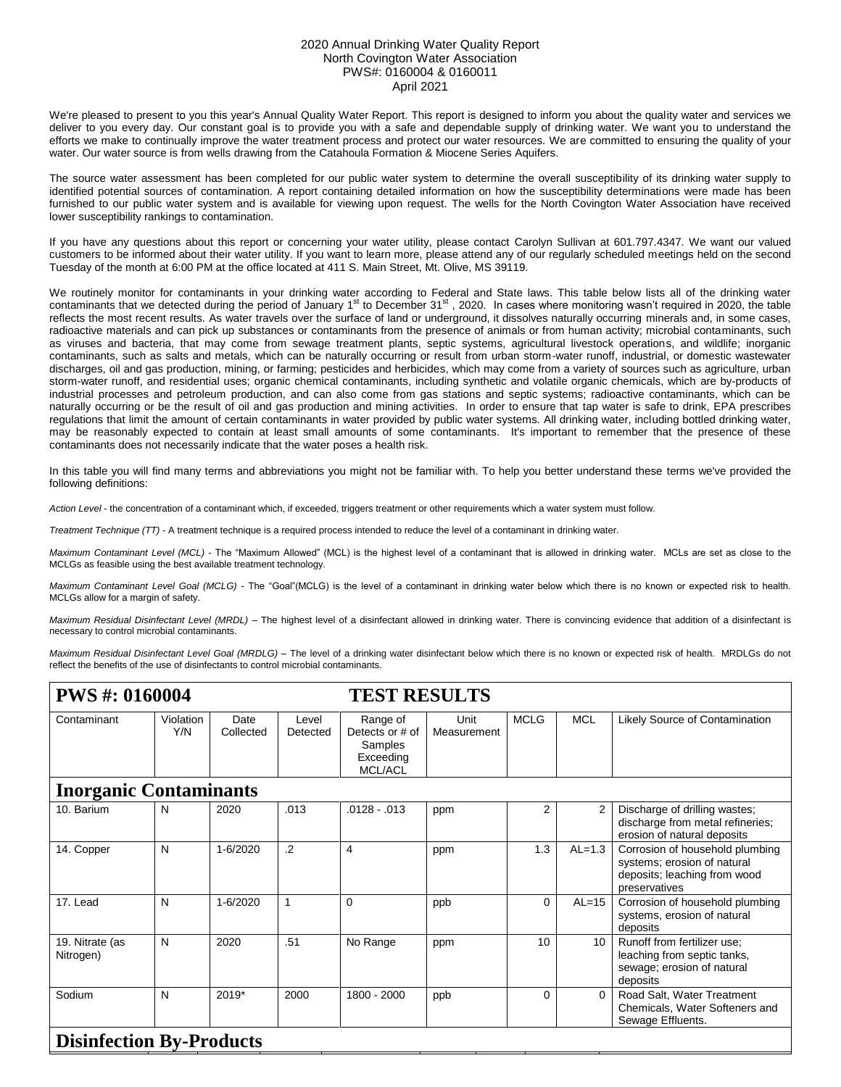## 2020 Annual Drinking Water Quality Report North Covington Water Association PWS#: 0160004 & 0160011 April 2021

We're pleased to present to you this year's Annual Quality Water Report. This report is designed to inform you about the quality water and services we deliver to you every day. Our constant goal is to provide you with a safe and dependable supply of drinking water. We want you to understand the efforts we make to continually improve the water treatment process and protect our water resources. We are committed to ensuring the quality of your water. Our water source is from wells drawing from the Catahoula Formation & Miocene Series Aquifers.

The source water assessment has been completed for our public water system to determine the overall susceptibility of its drinking water supply to identified potential sources of contamination. A report containing detailed information on how the susceptibility determinations were made has been furnished to our public water system and is available for viewing upon request. The wells for the North Covington Water Association have received lower susceptibility rankings to contamination.

If you have any questions about this report or concerning your water utility, please contact Carolyn Sullivan at 601.797.4347. We want our valued customers to be informed about their water utility. If you want to learn more, please attend any of our regularly scheduled meetings held on the second Tuesday of the month at 6:00 PM at the office located at 411 S. Main Street, Mt. Olive, MS 39119.

We routinely monitor for contaminants in your drinking water according to Federal and State laws. This table below lists all of the drinking water contaminants that we detected during the period of January 1<sup>st</sup> to December 31<sup>st</sup>, 2020. In cases where monitoring wasn't required in 2020, the table reflects the most recent results. As water travels over the surface of land or underground, it dissolves naturally occurring minerals and, in some cases, radioactive materials and can pick up substances or contaminants from the presence of animals or from human activity; microbial contaminants, such as viruses and bacteria, that may come from sewage treatment plants, septic systems, agricultural livestock operations, and wildlife; inorganic contaminants, such as salts and metals, which can be naturally occurring or result from urban storm-water runoff, industrial, or domestic wastewater discharges, oil and gas production, mining, or farming; pesticides and herbicides, which may come from a variety of sources such as agriculture, urban storm-water runoff, and residential uses; organic chemical contaminants, including synthetic and volatile organic chemicals, which are by-products of industrial processes and petroleum production, and can also come from gas stations and septic systems; radioactive contaminants, which can be naturally occurring or be the result of oil and gas production and mining activities. In order to ensure that tap water is safe to drink, EPA prescribes regulations that limit the amount of certain contaminants in water provided by public water systems. All drinking water, including bottled drinking water, may be reasonably expected to contain at least small amounts of some contaminants. It's important to remember that the presence of these contaminants does not necessarily indicate that the water poses a health risk.

In this table you will find many terms and abbreviations you might not be familiar with. To help you better understand these terms we've provided the following definitions:

*Action Level* - the concentration of a contaminant which, if exceeded, triggers treatment or other requirements which a water system must follow.

*Treatment Technique (TT)* - A treatment technique is a required process intended to reduce the level of a contaminant in drinking water.

*Maximum Contaminant Level (MCL)* - The "Maximum Allowed" (MCL) is the highest level of a contaminant that is allowed in drinking water. MCLs are set as close to the MCLGs as feasible using the best available treatment technology.

*Maximum Contaminant Level Goal (MCLG)* - The "Goal"(MCLG) is the level of a contaminant in drinking water below which there is no known or expected risk to health. MCLGs allow for a margin of safety.

*Maximum Residual Disinfectant Level (MRDL)* – The highest level of a disinfectant allowed in drinking water. There is convincing evidence that addition of a disinfectant is necessary to control microbial contaminants.

*Maximum Residual Disinfectant Level Goal (MRDLG)* – The level of a drinking water disinfectant below which there is no known or expected risk of health. MRDLGs do not reflect the benefits of the use of disinfectants to control microbial contaminants.

| <b>PWS #: 0160004</b>           |                  |                   |                   | <b>TEST RESULTS</b>                                                   |                     |                |                |                                                                                                                 |  |  |
|---------------------------------|------------------|-------------------|-------------------|-----------------------------------------------------------------------|---------------------|----------------|----------------|-----------------------------------------------------------------------------------------------------------------|--|--|
| Contaminant                     | Violation<br>Y/N | Date<br>Collected | Level<br>Detected | Range of<br>Detects or # of<br>Samples<br>Exceeding<br><b>MCL/ACL</b> | Unit<br>Measurement | <b>MCLG</b>    | <b>MCL</b>     | Likely Source of Contamination                                                                                  |  |  |
| <b>Inorganic Contaminants</b>   |                  |                   |                   |                                                                       |                     |                |                |                                                                                                                 |  |  |
| 10. Barium                      | N                | 2020              | .013              | $.0128-.013$                                                          | ppm                 | $\overline{2}$ | $\overline{2}$ | Discharge of drilling wastes;<br>discharge from metal refineries;<br>erosion of natural deposits                |  |  |
| 14. Copper                      | N                | 1-6/2020          | $\cdot$ .2        | $\overline{4}$                                                        | ppm                 | 1.3            | $AL=1.3$       | Corrosion of household plumbing<br>systems; erosion of natural<br>deposits; leaching from wood<br>preservatives |  |  |
| 17. Lead                        | N                | 1-6/2020          | 1                 | $\Omega$                                                              | ppb                 | $\Omega$       | $AL=15$        | Corrosion of household plumbing<br>systems, erosion of natural<br>deposits                                      |  |  |
| 19. Nitrate (as<br>Nitrogen)    | N                | 2020              | .51               | No Range                                                              | ppm                 | 10             | 10             | Runoff from fertilizer use;<br>leaching from septic tanks,<br>sewage; erosion of natural<br>deposits            |  |  |
| Sodium                          | N                | 2019*             | 2000              | 1800 - 2000                                                           | ppb                 | 0              |                | Road Salt, Water Treatment<br>Chemicals, Water Softeners and<br>Sewage Effluents.                               |  |  |
| <b>Disinfection By-Products</b> |                  |                   |                   |                                                                       |                     |                |                |                                                                                                                 |  |  |